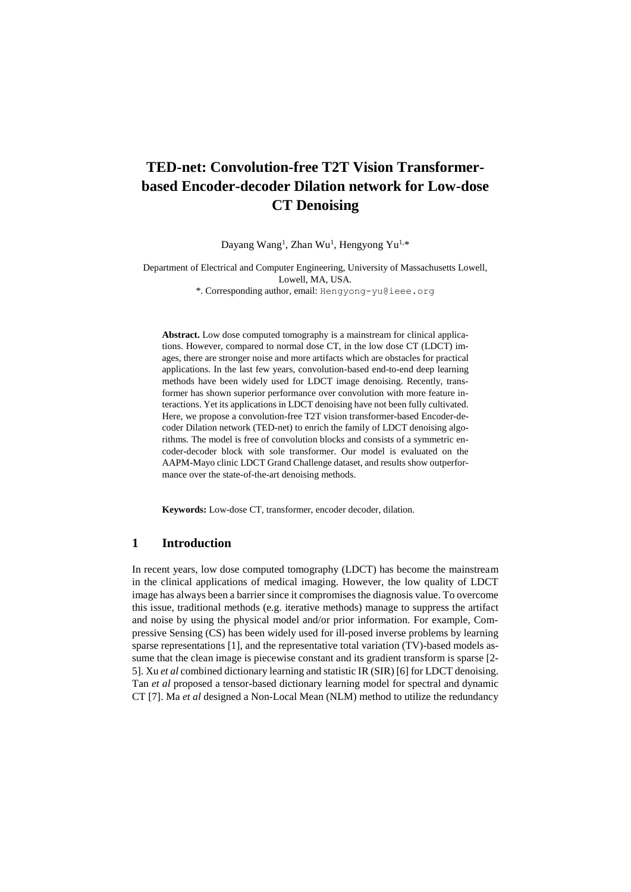# **TED-net: Convolution-free T2T Vision Transformerbased Encoder-decoder Dilation network for Low-dose CT Denoising**

Dayang Wang<sup>1</sup>, Zhan Wu<sup>1</sup>, Hengyong Yu<sup>1,\*</sup>

Department of Electrical and Computer Engineering, University of Massachusetts Lowell, Lowell, MA, USA. \*. Corresponding author, email: Hengyong-yu@ieee.org

**Abstract.** Low dose computed tomography is a mainstream for clinical applications. However, compared to normal dose CT, in the low dose CT (LDCT) images, there are stronger noise and more artifacts which are obstacles for practical applications. In the last few years, convolution-based end-to-end deep learning methods have been widely used for LDCT image denoising. Recently, transformer has shown superior performance over convolution with more feature interactions. Yet its applications in LDCT denoising have not been fully cultivated. Here, we propose a convolution-free T2T vision transformer-based Encoder-decoder Dilation network (TED-net) to enrich the family of LDCT denoising algorithms. The model is free of convolution blocks and consists of a symmetric encoder-decoder block with sole transformer. Our model is evaluated on the AAPM-Mayo clinic LDCT Grand Challenge dataset, and results show outperformance over the state-of-the-art denoising methods.

**Keywords:** Low-dose CT, transformer, encoder decoder, dilation.

### **1 Introduction**

In recent years, low dose computed tomography (LDCT) has become the mainstream in the clinical applications of medical imaging. However, the low quality of LDCT image has always been a barrier since it compromises the diagnosis value. To overcome this issue, traditional methods (e.g. iterative methods) manage to suppress the artifact and noise by using the physical model and/or prior information. For example, Compressive Sensing (CS) has been widely used for ill-posed inverse problems by learning sparse representations [1], and the representative total variation (TV)-based models assume that the clean image is piecewise constant and its gradient transform is sparse [2- 5]. Xu *et al* combined dictionary learning and statistic IR (SIR) [6] for LDCT denoising. Tan *et al* proposed a tensor-based dictionary learning model for spectral and dynamic CT [7]. Ma *et al* designed a Non-Local Mean (NLM) method to utilize the redundancy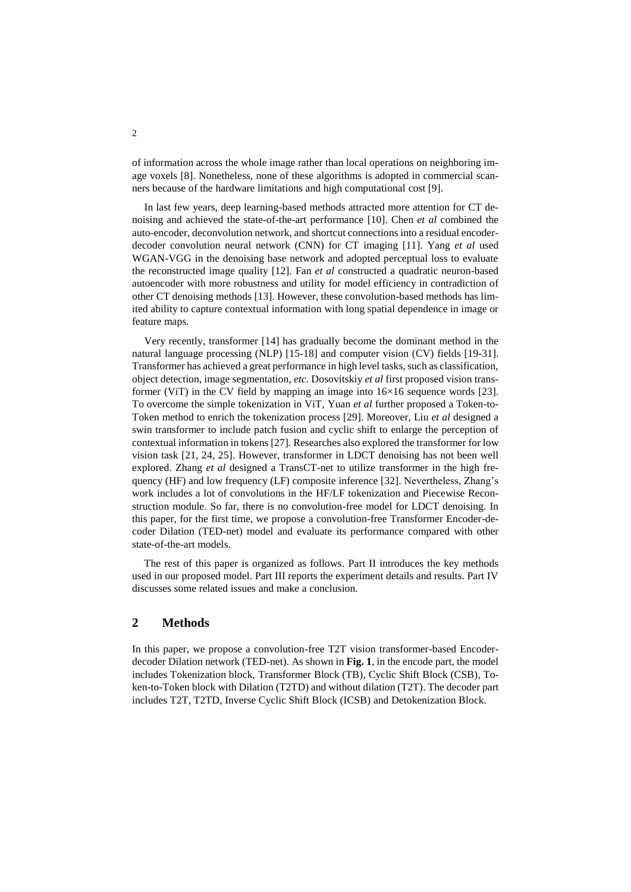of information across the whole image rather than local operations on neighboring image voxels [8]. Nonetheless, none of these algorithms is adopted in commercial scanners because of the hardware limitations and high computational cost [9].

In last few years, deep learning-based methods attracted more attention for CT denoising and achieved the state-of-the-art performance [10]. Chen *et al* combined the auto-encoder, deconvolution network, and shortcut connections into a residual encoderdecoder convolution neural network (CNN) for CT imaging [11]. Yang *et al* used WGAN-VGG in the denoising base network and adopted perceptual loss to evaluate the reconstructed image quality [12]. Fan *et al* constructed a quadratic neuron-based autoencoder with more robustness and utility for model efficiency in contradiction of other CT denoising methods [13]. However, these convolution-based methods has limited ability to capture contextual information with long spatial dependence in image or feature maps.

Very recently, transformer [14] has gradually become the dominant method in the natural language processing (NLP) [15-18] and computer vision (CV) fields [19-31]. Transformer has achieved a great performance in high level tasks, such as classification, object detection, image segmentation, *etc*. Dosovitskiy *et al* first proposed vision transformer (ViT) in the CV field by mapping an image into  $16\times16$  sequence words [23]. To overcome the simple tokenization in ViT, Yuan *et al* further proposed a Token-to-Token method to enrich the tokenization process [29]. Moreover, Liu *et al* designed a swin transformer to include patch fusion and cyclic shift to enlarge the perception of contextual information in tokens [27]. Researches also explored the transformer for low vision task [21, 24, 25]. However, transformer in LDCT denoising has not been well explored. Zhang *et al* designed a TransCT-net to utilize transformer in the high frequency (HF) and low frequency (LF) composite inference [32]. Nevertheless, Zhang's work includes a lot of convolutions in the HF/LF tokenization and Piecewise Reconstruction module. So far, there is no convolution-free model for LDCT denoising. In this paper, for the first time, we propose a convolution-free Transformer Encoder-decoder Dilation (TED-net) model and evaluate its performance compared with other state-of-the-art models.

The rest of this paper is organized as follows. Part II introduces the key methods used in our proposed model. Part III reports the experiment details and results. Part IV discusses some related issues and make a conclusion.

### **2 Methods**

In this paper, we propose a convolution-free T2T vision transformer-based Encoderdecoder Dilation network (TED-net). As shown in **[Fig. 1](#page-2-0)**, in the encode part, the model includes Tokenization block, Transformer Block (TB), Cyclic Shift Block (CSB), Token-to-Token block with Dilation (T2TD) and without dilation (T2T). The decoder part includes T2T, T2TD, Inverse Cyclic Shift Block (ICSB) and Detokenization Block.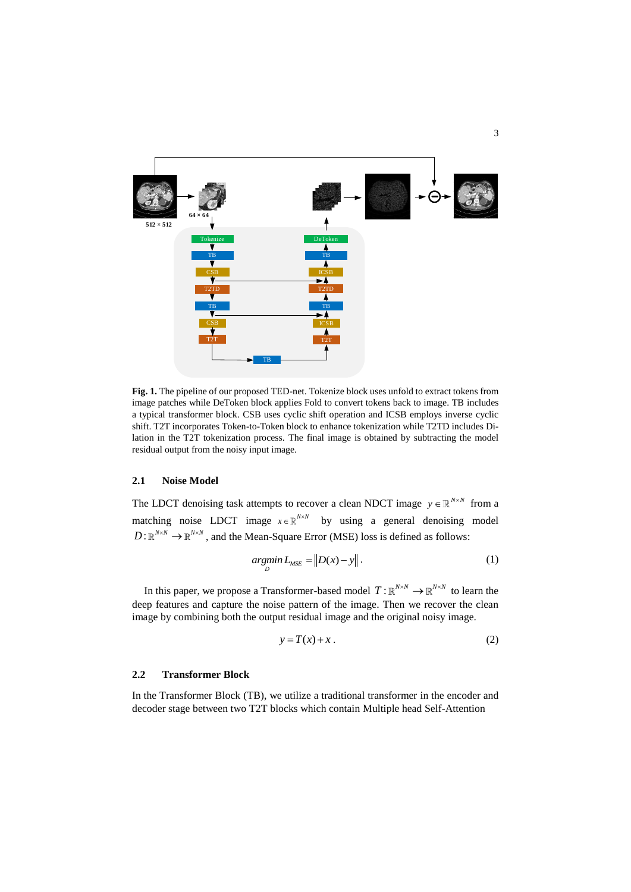

<span id="page-2-0"></span>**Fig. 1.** The pipeline of our proposed TED-net. Tokenize block uses unfold to extract tokens from image patches while DeToken block applies Fold to convert tokens back to image. TB includes a typical transformer block. CSB uses cyclic shift operation and ICSB employs inverse cyclic shift. T2T incorporates Token-to-Token block to enhance tokenization while T2TD includes Dilation in the T2T tokenization process. The final image is obtained by subtracting the model residual output from the noisy input image.

### **2.1 Noise Model**

The LDCT denoising task attempts to recover a clean NDCT image  $y \in \mathbb{R}^{N \times N}$  from a matching noise LDCT image  $x \in \mathbb{R}^{N \times N}$  by using a general denoising model  $D: \mathbb{R}^{N \times N} \to \mathbb{R}^{N \times N}$ , and the Mean-Square Error (MSE) loss is defined as follows:

$$
\underset{D}{\operatorname{argmin}} \, L_{\text{MSE}} = \| D(x) - y \| \,. \tag{1}
$$

In this paper, we propose a Transformer-based model  $T: \mathbb{R}^{N \times N} \to \mathbb{R}^{N \times N}$  to learn the deep features and capture the noise pattern of the image. Then we recover the clean image by combining both the output residual image and the original noisy image.

$$
y = T(x) + x \tag{2}
$$

#### **2.2 Transformer Block**

In the Transformer Block (TB), we utilize a traditional transformer in the encoder and decoder stage between two T2T blocks which contain Multiple head Self-Attention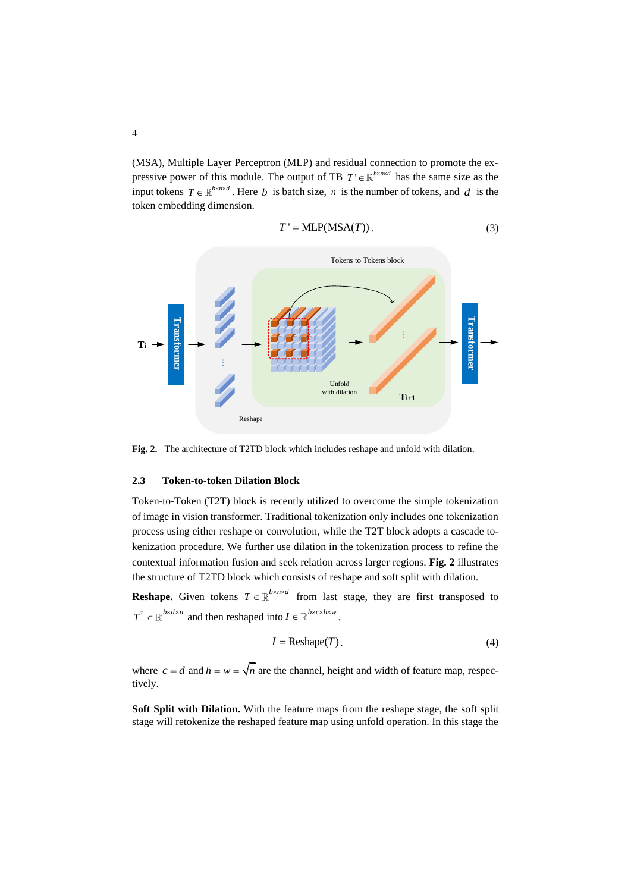(MSA), Multiple Layer Perceptron (MLP) and residual connection to promote the expressive power of this module. The output of TB  $T' \in \mathbb{R}^{b \times n \times d}$  has the same size as the input tokens  $T \in \mathbb{R}^{b \times n \times d}$ . Here *b* is batch size, *n* is the number of tokens, and *d* is the token embedding dimension.

$$
T' = \text{MLP}(MSA(T)).
$$
\n(3)



<span id="page-3-0"></span>**Fig. 2.** The architecture of T2TD block which includes reshape and unfold with dilation.

### **2.3 Token-to-token Dilation Block**

Token-to-Token (T2T) block is recently utilized to overcome the simple tokenization of image in vision transformer. Traditional tokenization only includes one tokenization process using either reshape or convolution, while the T2T block adopts a cascade tokenization procedure. We further use dilation in the tokenization process to refine the contextual information fusion and seek relation across larger regions. **[Fig. 2](#page-3-0)** illustrates the structure of T2TD block which consists of reshape and soft split with dilation.

**Reshape.** Given tokens  $T \in \mathbb{R}^{b \times n \times d}$  from last stage, they are first transposed to  $T^{\tau} \in \mathbb{R}^{b \times d \times n}$  and then reshaped into  $I \in \mathbb{R}^{b \times c \times h \times w}$ .

$$
I = \text{Reshape}(T). \tag{4}
$$

where  $c = d$  and  $h = w = \sqrt{n}$  are the channel, height and width of feature map, respectively.

**Soft Split with Dilation.** With the feature maps from the reshape stage, the soft split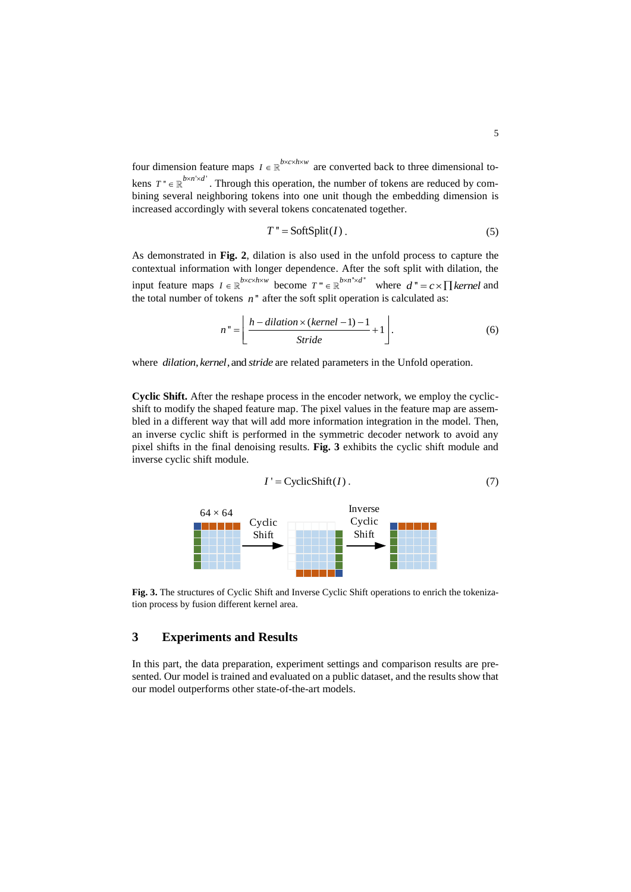four dimension feature maps  $I \in \mathbb{R}^{b \times c \times h \times w}$  are converted back to three dimensional tokens  $T^* \in \mathbb{R}^{b \times n' \times d'}$ . Through this operation, the number of tokens are reduced by combining several neighboring tokens into one unit though the embedding dimension is increased accordingly with several tokens concatenated together.

$$
T'' = \text{SoftSplit}(I) \tag{5}
$$

As demonstrated in **[Fig. 2](#page-3-0)**, dilation is also used in the unfold process to capture the contextual information with longer dependence. After the soft split with dilation, the input feature maps  $I \in \mathbb{R}^{b \times c \times h \times w}$  become  $T^* \in \mathbb{R}^{b \times n^* \times d^*}$  where  $d^* = c \times \prod k$ ernel and the total number of tokens  $n$ " after the soft split operation is calculated as:

$$
n'' = \left[ \frac{h - dilation \times (kernel - 1) - 1}{Stride} + 1 \right].
$$
 (6)

where *dilation, kernel*, and *stride* are related parameters in the Unfold operation.

**Cyclic Shift.** After the reshape process in the encoder network, we employ the cyclicshift to modify the shaped feature map. The pixel values in the feature map are assembled in a different way that will add more information integration in the model. Then, an inverse cyclic shift is performed in the symmetric decoder network to avoid any pixel shifts in the final denoising results. **[Fig. 3](#page-4-0)** exhibits the cyclic shift module and inverse cyclic shift module.

$$
I' = \text{CyclicShift}(I). \tag{7}
$$



<span id="page-4-0"></span>**Fig. 3.** The structures of Cyclic Shift and Inverse Cyclic Shift operations to enrich the tokenization process by fusion different kernel area.

# **3 Experiments and Results**

In this part, the data preparation, experiment settings and comparison results are presented. Our model is trained and evaluated on a public dataset, and the results show that our model outperforms other state-of-the-art models.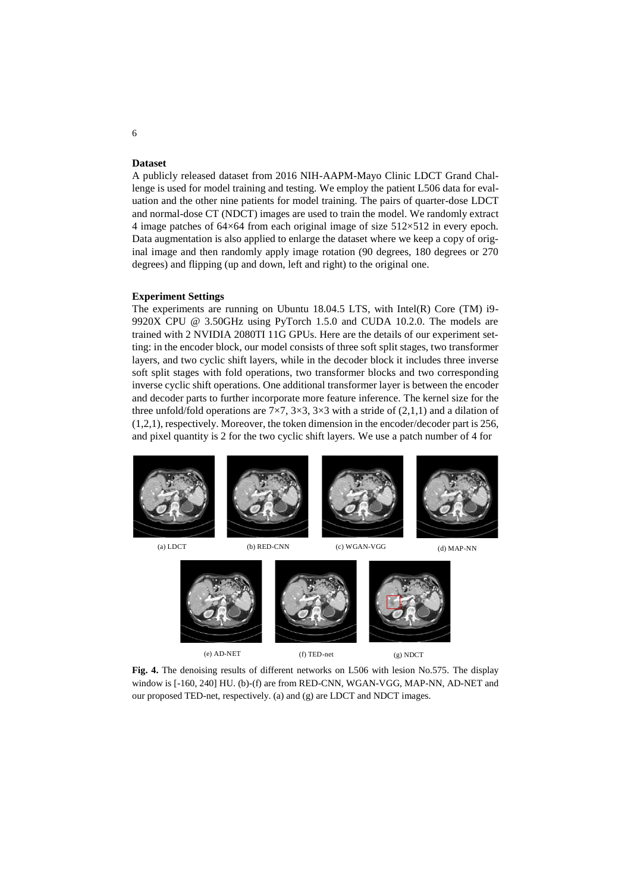### **Dataset**

A publicly released dataset from 2016 NIH-AAPM-Mayo Clinic LDCT Grand Challenge is used for model training and testing. We employ the patient L506 data for evaluation and the other nine patients for model training. The pairs of quarter-dose LDCT and normal-dose CT (NDCT) images are used to train the model. We randomly extract 4 image patches of 64×64 from each original image of size 512×512 in every epoch. Data augmentation is also applied to enlarge the dataset where we keep a copy of original image and then randomly apply image rotation (90 degrees, 180 degrees or 270 degrees) and flipping (up and down, left and right) to the original one.

### **Experiment Settings**

The experiments are running on Ubuntu 18.04.5 LTS, with Intel(R) Core (TM) i9- 9920X CPU @ 3.50GHz using PyTorch 1.5.0 and CUDA 10.2.0. The models are trained with 2 NVIDIA 2080TI 11G GPUs. Here are the details of our experiment setting: in the encoder block, our model consists of three soft split stages, two transformer layers, and two cyclic shift layers, while in the decoder block it includes three inverse soft split stages with fold operations, two transformer blocks and two corresponding inverse cyclic shift operations. One additional transformer layer is between the encoder and decoder parts to further incorporate more feature inference. The kernel size for the three unfold/fold operations are  $7\times7$ ,  $3\times3$ ,  $3\times3$  with a stride of (2,1,1) and a dilation of (1,2,1), respectively. Moreover, the token dimension in the encoder/decoder part is 256, and pixel quantity is 2 for the two cyclic shift layers. We use a patch number of 4 for

<span id="page-5-0"></span>

Fig. 4. The denoising results of different networks on L506 with lesion No.575. The display window is [-160, 240] HU. (b)-(f) are from RED-CNN, WGAN-VGG, MAP-NN, AD-NET and our proposed TED-net, respectively. (a) and (g) are LDCT and NDCT images.

(g) NDCT

6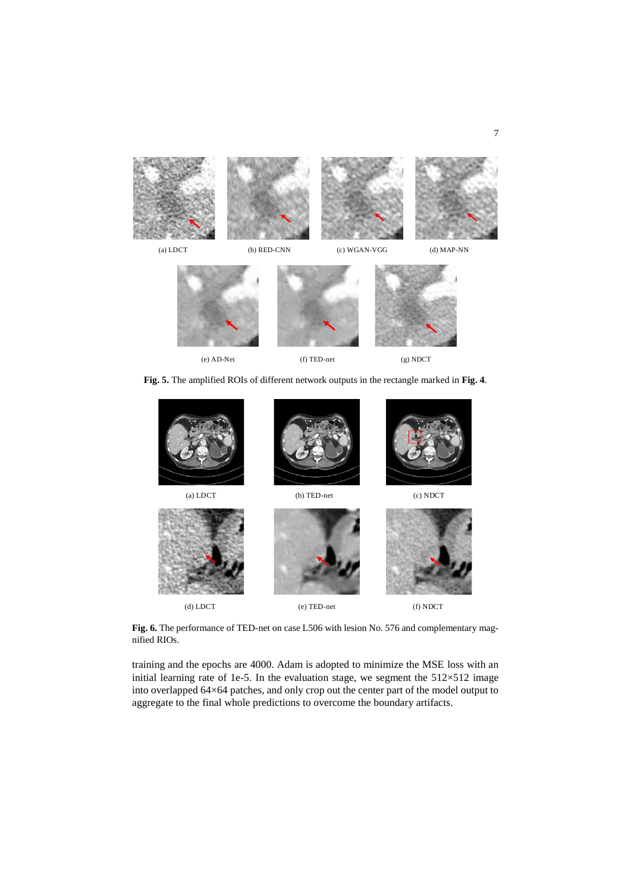

**Fig. 5.** The amplified ROIs of different network outputs in the rectangle marked in **[Fig. 4](#page-5-0)**.

<span id="page-6-0"></span>

**Fig. 6.** The performance of TED-net on case L506 with lesion No. 576 and complementary magnified RIOs.

<span id="page-6-1"></span>training and the epochs are 4000. Adam is adopted to minimize the MSE loss with an initial learning rate of 1e-5. In the evaluation stage, we segment the  $512\times512$  image into overlapped 64×64 patches, and only crop out the center part of the model output to aggregate to the final whole predictions to overcome the boundary artifacts.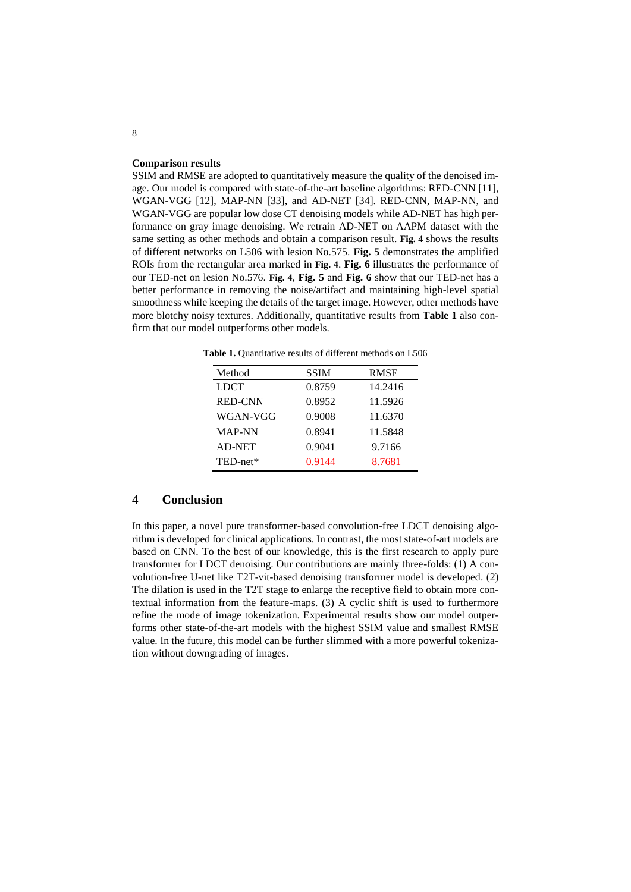### **Comparison results**

SSIM and RMSE are adopted to quantitatively measure the quality of the denoised image. Our model is compared with state-of-the-art baseline algorithms: RED-CNN [11], WGAN-VGG [12], MAP-NN [33], and AD-NET [34]. RED-CNN, MAP-NN, and WGAN-VGG are popular low dose CT denoising models while AD-NET has high performance on gray image denoising. We retrain AD-NET on AAPM dataset with the same setting as other methods and obtain a comparison result. **[Fig. 4](#page-5-0)** shows the results of different networks on L506 with lesion No.575. **[Fig. 5](#page-6-0)** demonstrates the amplified ROIs from the rectangular area marked in **[Fig. 4](#page-5-0)**. **[Fig. 6](#page-6-1)** illustrates the performance of our TED-net on lesion No.576. **[Fig. 4](#page-5-0)**, **[Fig. 5](#page-6-0)** and **[Fig. 6](#page-6-1)** show that our TED-net has a better performance in removing the noise/artifact and maintaining high-level spatial smoothness while keeping the details of the target image. However, other methods have more blotchy noisy textures. Additionally, quantitative results from **[Table 1](#page-7-0)** also confirm that our model outperforms other models.

<span id="page-7-0"></span>**Table 1.** Quantitative results of different methods on L506

| Method         | <b>SSIM</b> | <b>RMSE</b> |
|----------------|-------------|-------------|
| <b>LDCT</b>    | 0.8759      | 14.2416     |
| <b>RED-CNN</b> | 0.8952      | 11.5926     |
| WGAN-VGG       | 0.9008      | 11.6370     |
| <b>MAP-NN</b>  | 0.8941      | 11.5848     |
| <b>AD-NET</b>  | 0.9041      | 9.7166      |
| TED-net*       | 0.9144      | 8.7681      |

## **4 Conclusion**

In this paper, a novel pure transformer-based convolution-free LDCT denoising algorithm is developed for clinical applications. In contrast, the most state-of-art models are based on CNN. To the best of our knowledge, this is the first research to apply pure transformer for LDCT denoising. Our contributions are mainly three-folds: (1) A convolution-free U-net like T2T-vit-based denoising transformer model is developed. (2) The dilation is used in the T2T stage to enlarge the receptive field to obtain more contextual information from the feature-maps. (3) A cyclic shift is used to furthermore refine the mode of image tokenization. Experimental results show our model outperforms other state-of-the-art models with the highest SSIM value and smallest RMSE value. In the future, this model can be further slimmed with a more powerful tokenization without downgrading of images.

8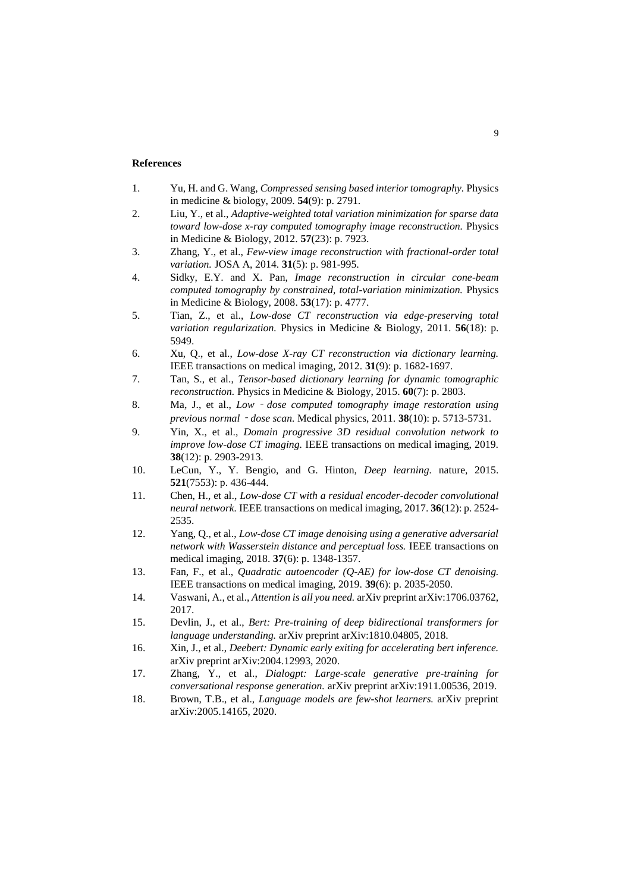### **References**

- 1. Yu, H. and G. Wang, *Compressed sensing based interior tomography.* Physics in medicine & biology, 2009. **54**(9): p. 2791.
- 2. Liu, Y., et al., *Adaptive-weighted total variation minimization for sparse data toward low-dose x-ray computed tomography image reconstruction.* Physics in Medicine & Biology, 2012. **57**(23): p. 7923.
- 3. Zhang, Y., et al., *Few-view image reconstruction with fractional-order total variation.* JOSA A, 2014. **31**(5): p. 981-995.
- 4. Sidky, E.Y. and X. Pan, *Image reconstruction in circular cone-beam computed tomography by constrained, total-variation minimization.* Physics in Medicine & Biology, 2008. **53**(17): p. 4777.
- 5. Tian, Z., et al., *Low-dose CT reconstruction via edge-preserving total variation regularization.* Physics in Medicine & Biology, 2011. **56**(18): p. 5949.
- 6. Xu, Q., et al., *Low-dose X-ray CT reconstruction via dictionary learning.* IEEE transactions on medical imaging, 2012. **31**(9): p. 1682-1697.
- 7. Tan, S., et al., *Tensor-based dictionary learning for dynamic tomographic reconstruction.* Physics in Medicine & Biology, 2015. **60**(7): p. 2803.
- 8. Ma, J., et al., *Low dose computed tomography image restoration using previous normal*‐*dose scan.* Medical physics, 2011. **38**(10): p. 5713-5731.
- 9. Yin, X., et al., *Domain progressive 3D residual convolution network to improve low-dose CT imaging.* IEEE transactions on medical imaging, 2019. **38**(12): p. 2903-2913.
- 10. LeCun, Y., Y. Bengio, and G. Hinton, *Deep learning.* nature, 2015. **521**(7553): p. 436-444.
- 11. Chen, H., et al., *Low-dose CT with a residual encoder-decoder convolutional neural network.* IEEE transactions on medical imaging, 2017. **36**(12): p. 2524- 2535.
- 12. Yang, Q., et al., *Low-dose CT image denoising using a generative adversarial network with Wasserstein distance and perceptual loss.* IEEE transactions on medical imaging, 2018. **37**(6): p. 1348-1357.
- 13. Fan, F., et al., *Quadratic autoencoder (Q-AE) for low-dose CT denoising.* IEEE transactions on medical imaging, 2019. **39**(6): p. 2035-2050.
- 14. Vaswani, A., et al., *Attention is all you need.* arXiv preprint arXiv:1706.03762, 2017.
- 15. Devlin, J., et al., *Bert: Pre-training of deep bidirectional transformers for language understanding.* arXiv preprint arXiv:1810.04805, 2018.
- 16. Xin, J., et al., *Deebert: Dynamic early exiting for accelerating bert inference.* arXiv preprint arXiv:2004.12993, 2020.
- 17. Zhang, Y., et al., *Dialogpt: Large-scale generative pre-training for conversational response generation.* arXiv preprint arXiv:1911.00536, 2019.
- 18. Brown, T.B., et al., *Language models are few-shot learners.* arXiv preprint arXiv:2005.14165, 2020.